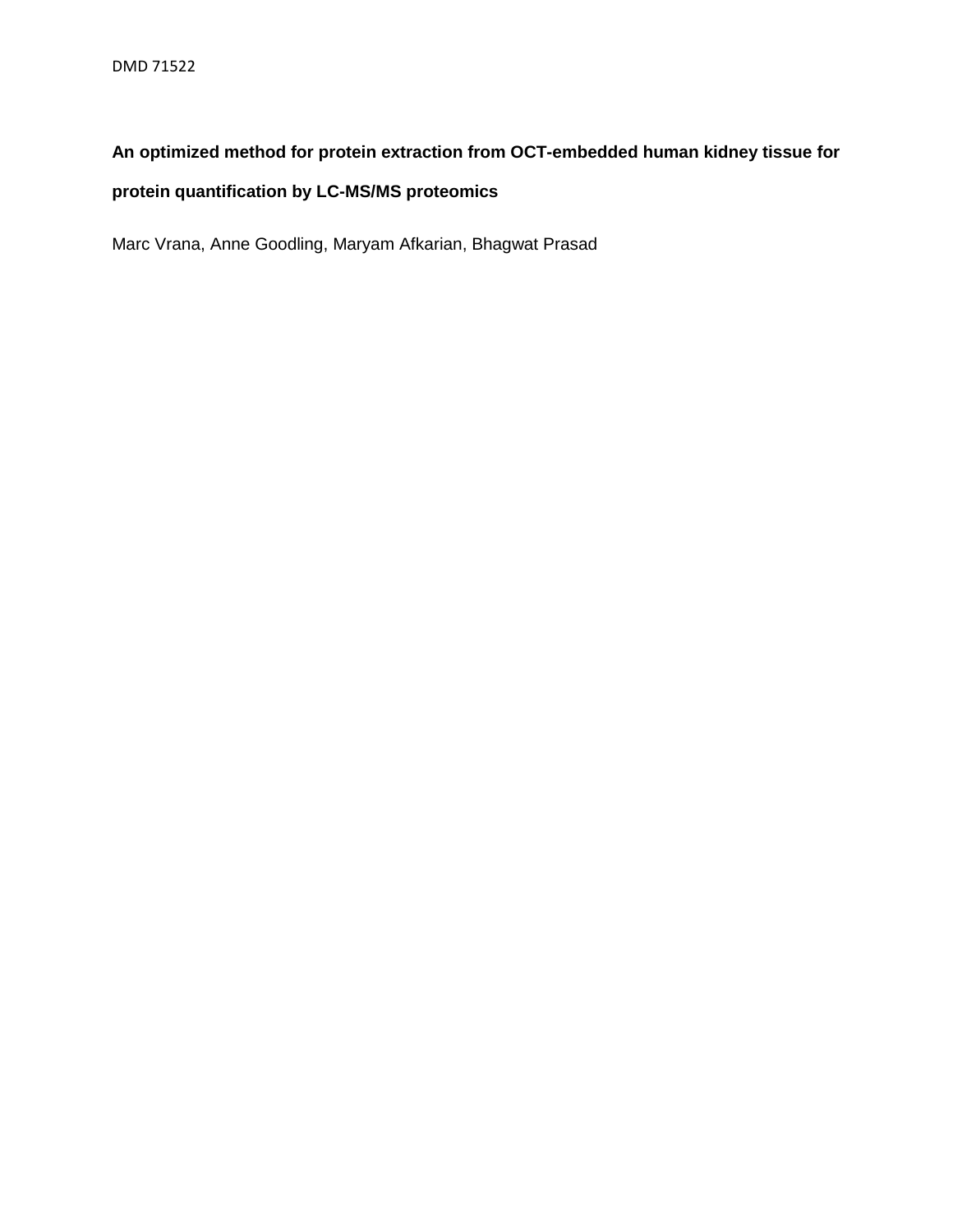## **An optimized method for protein extraction from OCT-embedded human kidney tissue for**

## **protein quantification by LC-MS/MS proteomics**

Marc Vrana, Anne Goodling, Maryam Afkarian, Bhagwat Prasad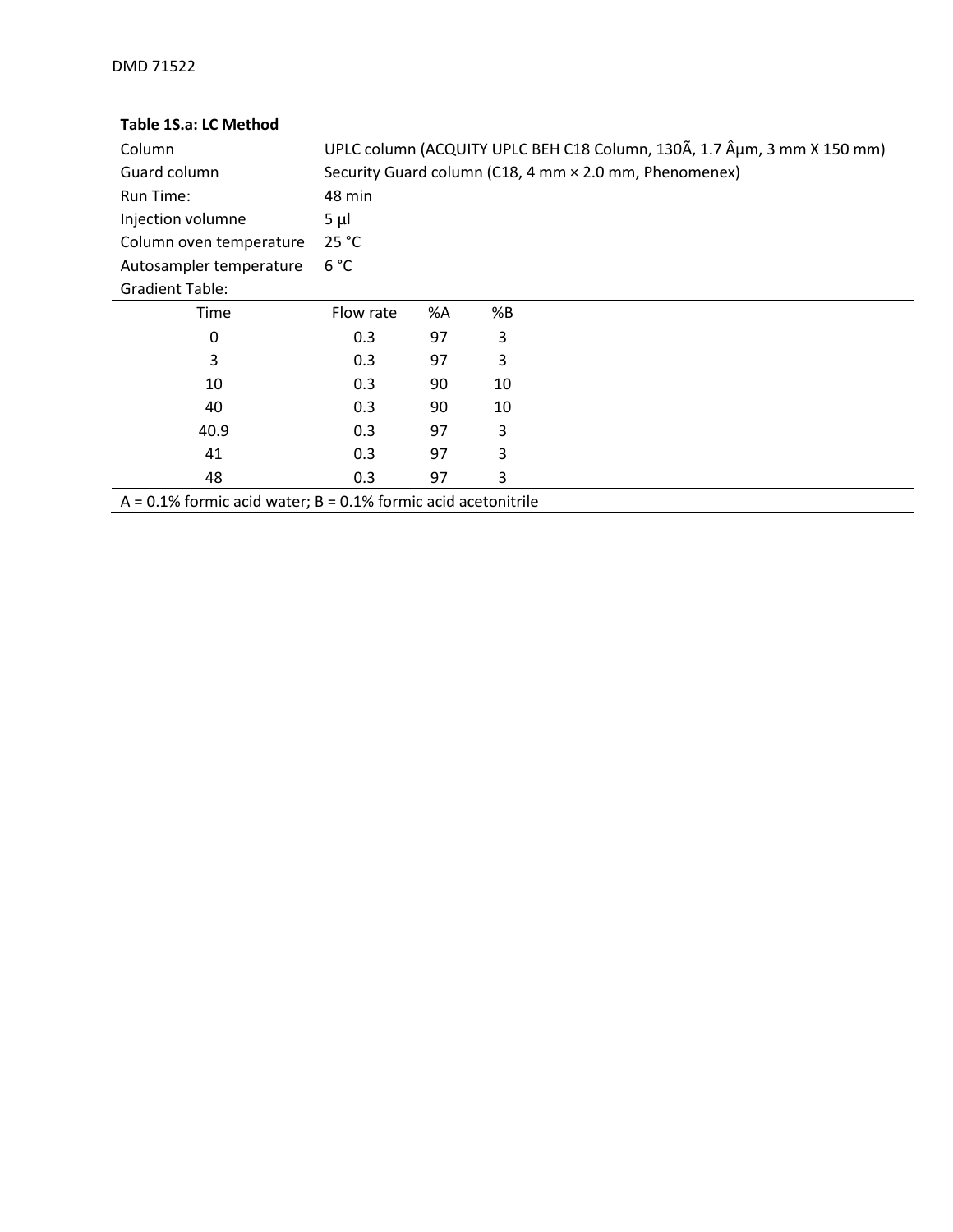## **Table 1S.a: LC Method**

| Column                                                           |           |    |    | UPLC column (ACQUITY UPLC BEH C18 Column, 130A, 1.7 Aum, 3 mm X 150 mm) |  |  |  |
|------------------------------------------------------------------|-----------|----|----|-------------------------------------------------------------------------|--|--|--|
| Guard column                                                     |           |    |    | Security Guard column (C18, 4 mm × 2.0 mm, Phenomenex)                  |  |  |  |
| Run Time:                                                        | 48 min    |    |    |                                                                         |  |  |  |
| Injection volumne                                                | $5 \mu$   |    |    |                                                                         |  |  |  |
| Column oven temperature                                          | 25 °C     |    |    |                                                                         |  |  |  |
| Autosampler temperature                                          | 6 °C      |    |    |                                                                         |  |  |  |
| <b>Gradient Table:</b>                                           |           |    |    |                                                                         |  |  |  |
| Time                                                             | Flow rate | %A | %B |                                                                         |  |  |  |
| 0                                                                | 0.3       | 97 | 3  |                                                                         |  |  |  |
| 3                                                                | 0.3       | 97 | 3  |                                                                         |  |  |  |
| 10                                                               | 0.3       | 90 | 10 |                                                                         |  |  |  |
| 40                                                               | 0.3       | 90 | 10 |                                                                         |  |  |  |
| 40.9                                                             | 0.3       | 97 | 3  |                                                                         |  |  |  |
| 41                                                               | 0.3       | 97 | 3  |                                                                         |  |  |  |
| 48                                                               | 0.3       | 97 | 3  |                                                                         |  |  |  |
| $A = 0.1\%$ formic acid water; B = 0.1% formic acid acetonitrile |           |    |    |                                                                         |  |  |  |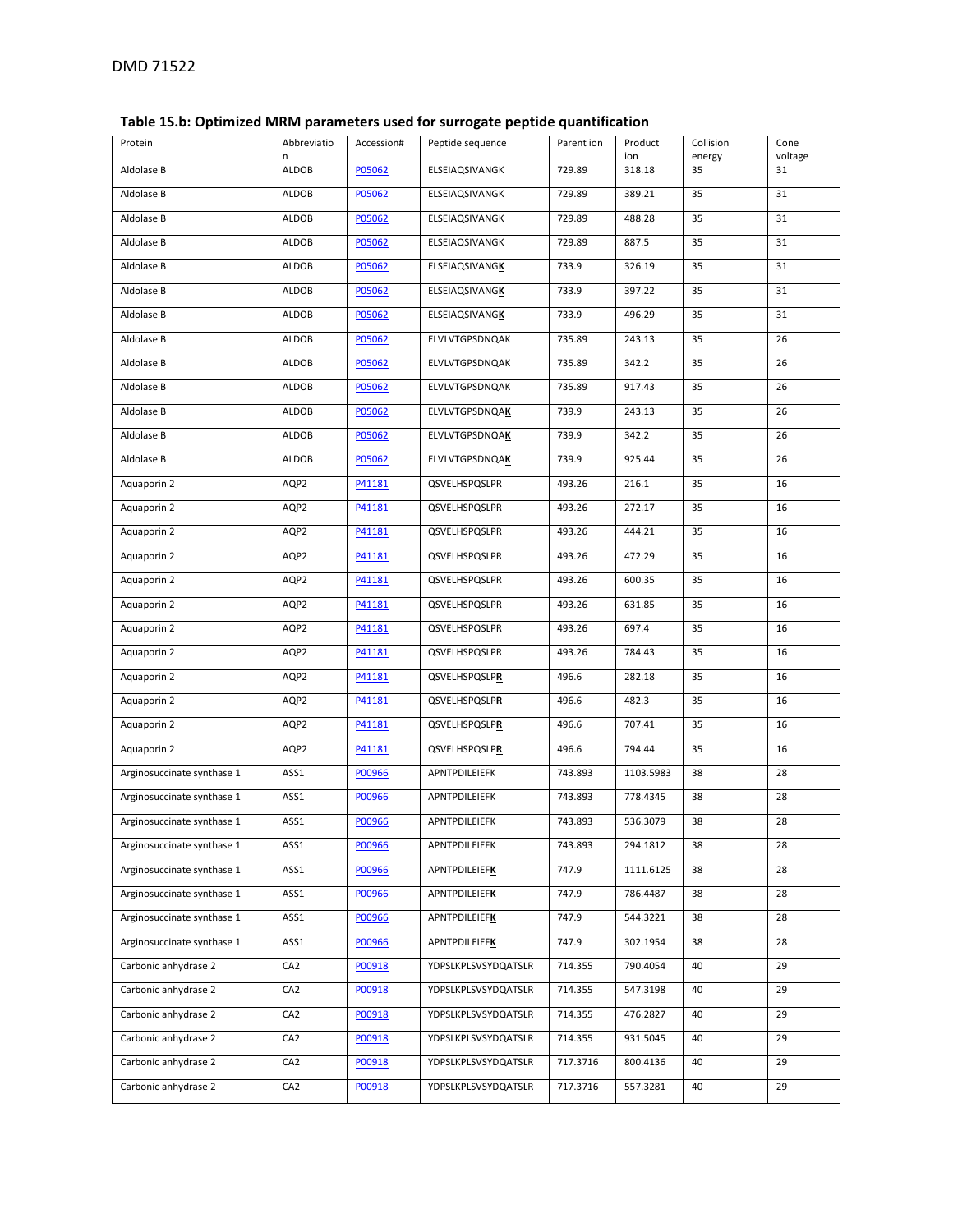## **Table 1S.b: Optimized MRM parameters used for surrogate peptide quantification**

| Protein                    | Abbreviatio<br>n | Accession# | Peptide sequence      | Parent ion | Product<br>ion | Collision<br>energy | Cone<br>voltage |
|----------------------------|------------------|------------|-----------------------|------------|----------------|---------------------|-----------------|
| Aldolase B                 | <b>ALDOB</b>     | P05062     | ELSEIAQSIVANGK        | 729.89     | 318.18         | 35                  | 31              |
| Aldolase B                 | <b>ALDOB</b>     | P05062     | ELSEIAQSIVANGK        | 729.89     | 389.21         | 35                  | 31              |
| Aldolase B                 | <b>ALDOB</b>     | P05062     | ELSEIAQSIVANGK        | 729.89     | 488.28         | 35                  | 31              |
| Aldolase B                 | <b>ALDOB</b>     | P05062     | ELSEIAQSIVANGK        | 729.89     | 887.5          | 35                  | 31              |
| Aldolase B                 | <b>ALDOB</b>     | P05062     | ELSEIAQSIVANGK        | 733.9      | 326.19         | 35                  | 31              |
| Aldolase B                 | <b>ALDOB</b>     | P05062     | ELSEIAQSIVANGK        | 733.9      | 397.22         | 35                  | 31              |
| Aldolase B                 | <b>ALDOB</b>     | P05062     | ELSEIAQSIVANGK        | 733.9      | 496.29         | 35                  | 31              |
| Aldolase B                 | ALDOB            | P05062     | ELVLVTGPSDNQAK        | 735.89     | 243.13         | 35                  | 26              |
| Aldolase B                 | <b>ALDOB</b>     | P05062     | ELVLVTGPSDNQAK        | 735.89     | 342.2          | 35                  | 26              |
| Aldolase B                 | <b>ALDOB</b>     | P05062     | ELVLVTGPSDNQAK        | 735.89     | 917.43         | 35                  | 26              |
| Aldolase B                 | <b>ALDOB</b>     | P05062     | <b>ELVLVTGPSDNQAK</b> | 739.9      | 243.13         | 35                  | 26              |
| Aldolase B                 | <b>ALDOB</b>     | P05062     | ELVLVTGPSDNQAK        | 739.9      | 342.2          | 35                  | 26              |
| Aldolase B                 | <b>ALDOB</b>     | P05062     | <b>ELVLVTGPSDNQAK</b> | 739.9      | 925.44         | 35                  | 26              |
| Aquaporin 2                | AQP2             | P41181     | QSVELHSPQSLPR         | 493.26     | 216.1          | 35                  | 16              |
| Aquaporin 2                | AQP2             | P41181     | QSVELHSPQSLPR         | 493.26     | 272.17         | 35                  | 16              |
| Aquaporin 2                | AQP2             | P41181     | QSVELHSPQSLPR         | 493.26     | 444.21         | 35                  | 16              |
| Aquaporin 2                | AQP2             | P41181     | QSVELHSPQSLPR         | 493.26     | 472.29         | 35                  | 16              |
| Aquaporin 2                | AQP2             | P41181     | QSVELHSPQSLPR         | 493.26     | 600.35         | 35                  | 16              |
| Aquaporin 2                | AQP2             | P41181     | QSVELHSPQSLPR         | 493.26     | 631.85         | 35                  | 16              |
| Aquaporin 2                | AQP2             | P41181     | QSVELHSPQSLPR         | 493.26     | 697.4          | 35                  | 16              |
| Aquaporin 2                | AQP2             | P41181     | QSVELHSPQSLPR         | 493.26     | 784.43         | 35                  | 16              |
| Aquaporin 2                | AQP2             | P41181     | QSVELHSPQSLPR         | 496.6      | 282.18         | 35                  | 16              |
| Aquaporin 2                | AQP2             | P41181     | QSVELHSPQSLPR         | 496.6      | 482.3          | 35                  | 16              |
| Aquaporin 2                | AQP2             | P41181     | QSVELHSPQSLPR         | 496.6      | 707.41         | 35                  | 16              |
| Aquaporin 2                | AQP2             | P41181     | QSVELHSPQSLPR         | 496.6      | 794.44         | 35                  | 16              |
| Arginosuccinate synthase 1 | ASS1             | P00966     | APNTPDILEIEFK         | 743.893    | 1103.5983      | 38                  | 28              |
| Arginosuccinate synthase 1 | ASS1             | P00966     | APNTPDILEIEFK         | 743.893    | 778.4345       | 38                  | 28              |
| Arginosuccinate synthase 1 | ASS1             | P00966     | APNTPDILEIEFK         | 743.893    | 536.3079       | 38                  | 28              |
| Arginosuccinate synthase 1 | ASS1             | P00966     | APNTPDILEIEFK         | 743.893    | 294.1812       | 38                  | 28              |
| Arginosuccinate synthase 1 | ASS1             | P00966     | <b>APNTPDILEIEFK</b>  | 747.9      | 1111.6125      | 38                  | 28              |
| Arginosuccinate synthase 1 | ASS1             | P00966     | APNTPDILEIEFK         | 747.9      | 786.4487       | 38                  | 28              |
| Arginosuccinate synthase 1 | ASS1             | P00966     | <b>APNTPDILEIEFK</b>  | 747.9      | 544.3221       | 38                  | 28              |
| Arginosuccinate synthase 1 | ASS1             | P00966     | <b>APNTPDILEIEFK</b>  | 747.9      | 302.1954       | 38                  | 28              |
| Carbonic anhydrase 2       | CA <sub>2</sub>  | P00918     | YDPSLKPLSVSYDQATSLR   | 714.355    | 790.4054       | 40                  | 29              |
| Carbonic anhydrase 2       | CA <sub>2</sub>  | P00918     | YDPSLKPLSVSYDQATSLR   | 714.355    | 547.3198       | 40                  | 29              |
| Carbonic anhydrase 2       | CA <sub>2</sub>  | P00918     | YDPSLKPLSVSYDQATSLR   | 714.355    | 476.2827       | 40                  | 29              |
| Carbonic anhydrase 2       | CA <sub>2</sub>  | P00918     | YDPSLKPLSVSYDQATSLR   | 714.355    | 931.5045       | 40                  | 29              |
| Carbonic anhydrase 2       | CA <sub>2</sub>  | P00918     | YDPSLKPLSVSYDQATSLR   | 717.3716   | 800.4136       | 40                  | 29              |
| Carbonic anhydrase 2       | CA <sub>2</sub>  | P00918     | YDPSLKPLSVSYDQATSLR   | 717.3716   | 557.3281       | 40                  | 29              |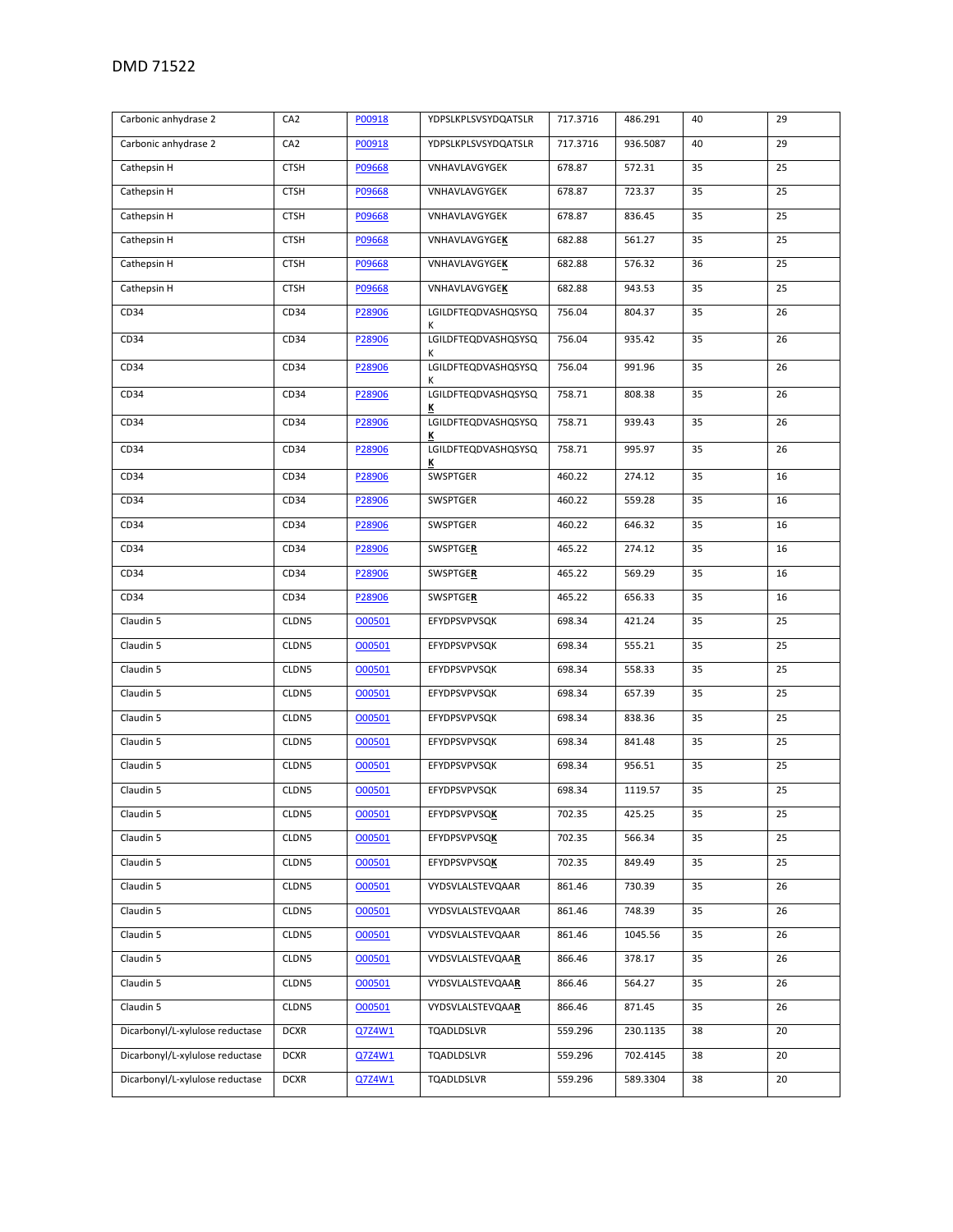| Carbonic anhydrase 2            | CA <sub>2</sub> | P00918 | YDPSLKPLSVSYDQATSLR      | 717.3716 | 486.291  | 40 | 29 |
|---------------------------------|-----------------|--------|--------------------------|----------|----------|----|----|
| Carbonic anhydrase 2            | CA <sub>2</sub> | P00918 | YDPSLKPLSVSYDQATSLR      | 717.3716 | 936.5087 | 40 | 29 |
| Cathepsin H                     | <b>CTSH</b>     | P09668 | VNHAVLAVGYGEK            | 678.87   | 572.31   | 35 | 25 |
| Cathepsin H                     | <b>CTSH</b>     | P09668 | VNHAVLAVGYGEK            | 678.87   | 723.37   | 35 | 25 |
| Cathepsin H                     | <b>CTSH</b>     | P09668 | VNHAVLAVGYGEK            | 678.87   | 836.45   | 35 | 25 |
| Cathepsin H                     | <b>CTSH</b>     | P09668 | VNHAVLAVGYGEK            | 682.88   | 561.27   | 35 | 25 |
| Cathepsin H                     | <b>CTSH</b>     | P09668 | VNHAVLAVGYGEK            | 682.88   | 576.32   | 36 | 25 |
| Cathepsin H                     | <b>CTSH</b>     | P09668 | VNHAVLAVGYGEK            | 682.88   | 943.53   | 35 | 25 |
| CD34                            | CD34            | P28906 | LGILDFTEQDVASHQSYSQ<br>К | 756.04   | 804.37   | 35 | 26 |
| CD34                            | CD34            | P28906 | LGILDFTEQDVASHQSYSQ<br>К | 756.04   | 935.42   | 35 | 26 |
| CD34                            | CD34            | P28906 | LGILDFTEQDVASHQSYSQ<br>Κ | 756.04   | 991.96   | 35 | 26 |
| CD34                            | CD34            | P28906 | LGILDFTEQDVASHQSYSQ<br>K | 758.71   | 808.38   | 35 | 26 |
| CD34                            | CD34            | P28906 | LGILDFTEQDVASHQSYSQ<br>К | 758.71   | 939.43   | 35 | 26 |
| CD34                            | CD34            | P28906 | LGILDFTEQDVASHQSYSQ<br>K | 758.71   | 995.97   | 35 | 26 |
| CD34                            | CD34            | P28906 | SWSPTGER                 | 460.22   | 274.12   | 35 | 16 |
| CD34                            | CD34            | P28906 | SWSPTGER                 | 460.22   | 559.28   | 35 | 16 |
| CD34                            | CD34            | P28906 | SWSPTGER                 | 460.22   | 646.32   | 35 | 16 |
| CD34                            | CD34            | P28906 | <b>SWSPTGER</b>          | 465.22   | 274.12   | 35 | 16 |
| CD34                            | CD34            | P28906 | SWSPTGER                 | 465.22   | 569.29   | 35 | 16 |
| CD34                            | CD34            | P28906 | SWSPTGER                 | 465.22   | 656.33   | 35 | 16 |
| Claudin 5                       | CLDN5           | 000501 | EFYDPSVPVSQK             | 698.34   | 421.24   | 35 | 25 |
| Claudin 5                       | CLDN5           | 000501 | EFYDPSVPVSQK             | 698.34   | 555.21   | 35 | 25 |
| Claudin 5                       | CLDN5           | 000501 | EFYDPSVPVSQK             | 698.34   | 558.33   | 35 | 25 |
| Claudin 5                       | CLDN5           | 000501 | EFYDPSVPVSQK             | 698.34   | 657.39   | 35 | 25 |
| Claudin 5                       | CLDN5           | 000501 | EFYDPSVPVSQK             | 698.34   | 838.36   | 35 | 25 |
| Claudin 5                       | CLDN5           | 000501 | EFYDPSVPVSQK             | 698.34   | 841.48   | 35 | 25 |
| Claudin 5                       | CLDN5           | 000501 | EFYDPSVPVSQK             | 698.34   | 956.51   | 35 | 25 |
| Claudin 5                       | CLDN5           | 000501 | EFYDPSVPVSQK             | 698.34   | 1119.57  | 35 | 25 |
| Claudin 5                       | CLDN5           | 000501 | EFYDPSVPVSQK             | 702.35   | 425.25   | 35 | 25 |
| Claudin 5                       | CLDN5           | 000501 | <b>EFYDPSVPVSQK</b>      | 702.35   | 566.34   | 35 | 25 |
| Claudin 5                       | CLDN5           | 000501 | <b>EFYDPSVPVSQK</b>      | 702.35   | 849.49   | 35 | 25 |
| Claudin 5                       | CLDN5           | 000501 | VYDSVLALSTEVQAAR         | 861.46   | 730.39   | 35 | 26 |
| Claudin 5                       | CLDN5           | 000501 | VYDSVLALSTEVQAAR         | 861.46   | 748.39   | 35 | 26 |
| Claudin 5                       | CLDN5           | 000501 | VYDSVLALSTEVQAAR         | 861.46   | 1045.56  | 35 | 26 |
| Claudin 5                       | CLDN5           | 000501 | VYDSVLALSTEVQAAR         | 866.46   | 378.17   | 35 | 26 |
| Claudin 5                       | CLDN5           | 000501 | VYDSVLALSTEVQAAR         | 866.46   | 564.27   | 35 | 26 |
| Claudin 5                       | CLDN5           | 000501 | VYDSVLALSTEVQAAR         | 866.46   | 871.45   | 35 | 26 |
| Dicarbonyl/L-xylulose reductase | <b>DCXR</b>     | Q7Z4W1 | TQADLDSLVR               | 559.296  | 230.1135 | 38 | 20 |
| Dicarbonyl/L-xylulose reductase | <b>DCXR</b>     | Q7Z4W1 | TQADLDSLVR               | 559.296  | 702.4145 | 38 | 20 |
| Dicarbonyl/L-xylulose reductase | <b>DCXR</b>     | Q7Z4W1 | TQADLDSLVR               | 559.296  | 589.3304 | 38 | 20 |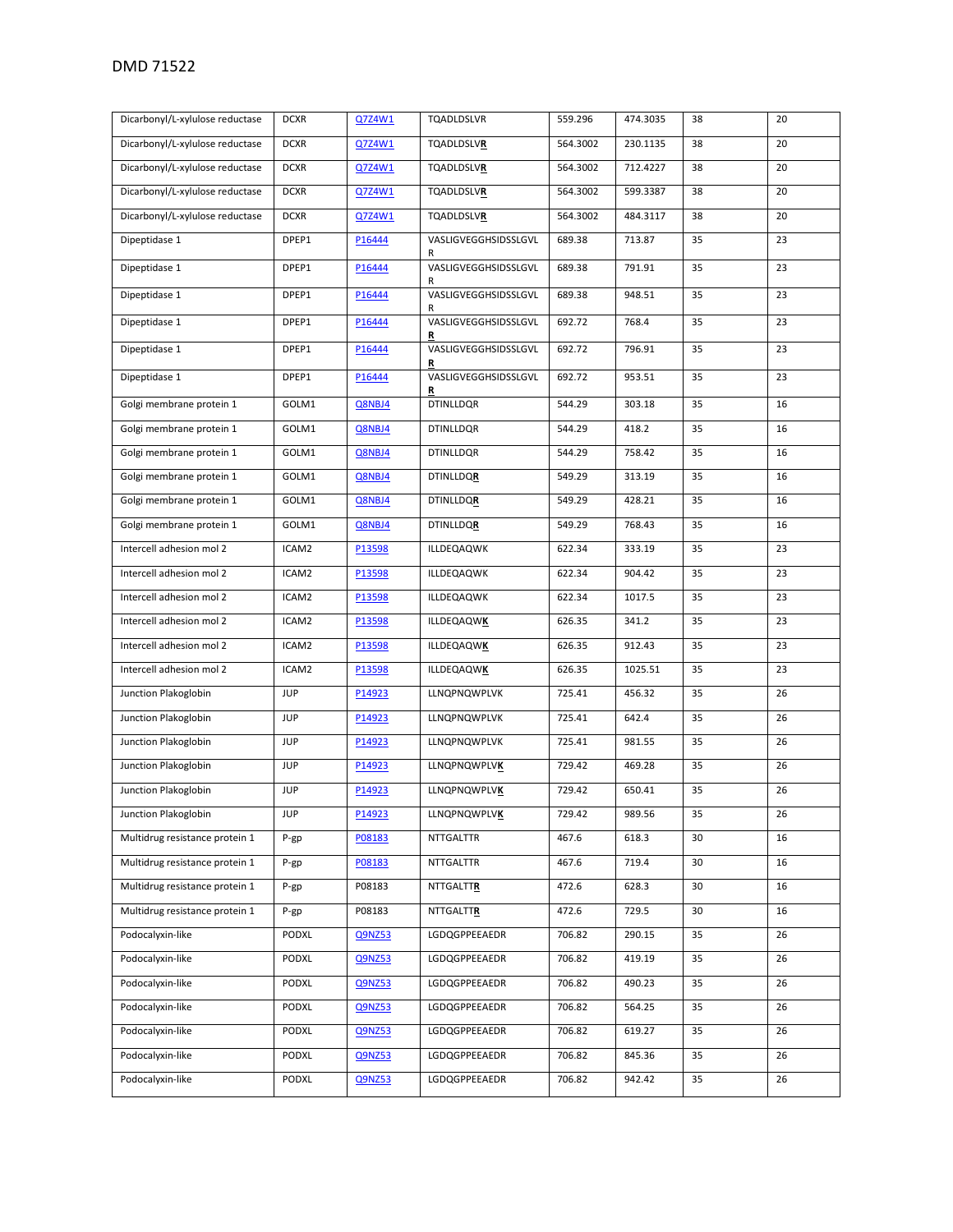|                                 | <b>DCXR</b> |               |                           |          |          |    | 20 |
|---------------------------------|-------------|---------------|---------------------------|----------|----------|----|----|
| Dicarbonyl/L-xylulose reductase |             | Q7Z4W1        | TQADLDSLVR                | 559.296  | 474.3035 | 38 |    |
| Dicarbonyl/L-xylulose reductase | <b>DCXR</b> | Q7Z4W1        | <b>TQADLDSLVR</b>         | 564.3002 | 230.1135 | 38 | 20 |
| Dicarbonyl/L-xylulose reductase | <b>DCXR</b> | Q7Z4W1        | <b>TQADLDSLVR</b>         | 564.3002 | 712.4227 | 38 | 20 |
| Dicarbonyl/L-xylulose reductase | <b>DCXR</b> | Q7Z4W1        | <b>TQADLDSLVR</b>         | 564.3002 | 599.3387 | 38 | 20 |
| Dicarbonyl/L-xylulose reductase | <b>DCXR</b> | Q7Z4W1        | <b>TQADLDSLVR</b>         | 564.3002 | 484.3117 | 38 | 20 |
| Dipeptidase 1                   | DPEP1       | P16444        | VASLIGVEGGHSIDSSLGVL<br>R | 689.38   | 713.87   | 35 | 23 |
| Dipeptidase 1                   | DPEP1       | P16444        | VASLIGVEGGHSIDSSLGVL<br>R | 689.38   | 791.91   | 35 | 23 |
| Dipeptidase 1                   | DPEP1       | P16444        | VASLIGVEGGHSIDSSLGVL<br>R | 689.38   | 948.51   | 35 | 23 |
| Dipeptidase 1                   | DPEP1       | P16444        | VASLIGVEGGHSIDSSLGVL      | 692.72   | 768.4    | 35 | 23 |
| Dipeptidase 1                   | DPEP1       | P16444        | R<br>VASLIGVEGGHSIDSSLGVL | 692.72   | 796.91   | 35 | 23 |
| Dipeptidase 1                   | DPEP1       | P16444        | R<br>VASLIGVEGGHSIDSSLGVL | 692.72   | 953.51   | 35 | 23 |
| Golgi membrane protein 1        | GOLM1       | Q8NBJ4        | R<br><b>DTINLLDQR</b>     | 544.29   | 303.18   | 35 | 16 |
| Golgi membrane protein 1        | GOLM1       | Q8NBJ4        | <b>DTINLLDQR</b>          | 544.29   | 418.2    | 35 | 16 |
| Golgi membrane protein 1        | GOLM1       | Q8NBJ4        | <b>DTINLLDQR</b>          | 544.29   | 758.42   | 35 | 16 |
| Golgi membrane protein 1        | GOLM1       | Q8NBJ4        | <b>DTINLLDQR</b>          | 549.29   | 313.19   | 35 | 16 |
| Golgi membrane protein 1        | GOLM1       | Q8NBJ4        | <b>DTINLLDQR</b>          | 549.29   | 428.21   | 35 | 16 |
| Golgi membrane protein 1        | GOLM1       | Q8NBJ4        | <b>DTINLLDQR</b>          | 549.29   | 768.43   | 35 | 16 |
| Intercell adhesion mol 2        | ICAM2       | P13598        | ILLDEQAQWK                | 622.34   | 333.19   | 35 | 23 |
| Intercell adhesion mol 2        | ICAM2       | P13598        | ILLDEQAQWK                | 622.34   | 904.42   | 35 | 23 |
| Intercell adhesion mol 2        | ICAM2       | P13598        | ILLDEQAQWK                | 622.34   | 1017.5   | 35 | 23 |
| Intercell adhesion mol 2        | ICAM2       | P13598        | ILLDEQAQWK                | 626.35   | 341.2    | 35 | 23 |
| Intercell adhesion mol 2        | ICAM2       | P13598        | <b>ILLDEQAQWK</b>         | 626.35   | 912.43   | 35 | 23 |
| Intercell adhesion mol 2        | ICAM2       | P13598        | ILLDEQAQWK                | 626.35   | 1025.51  | 35 | 23 |
| Junction Plakoglobin            | <b>JUP</b>  | P14923        | LLNQPNQWPLVK              | 725.41   | 456.32   | 35 | 26 |
| Junction Plakoglobin            | <b>JUP</b>  | P14923        | LLNQPNQWPLVK              | 725.41   | 642.4    | 35 | 26 |
| Junction Plakoglobin            | <b>JUP</b>  | P14923        | LLNQPNQWPLVK              | 725.41   | 981.55   | 35 | 26 |
| Junction Plakoglobin            | <b>JUP</b>  | P14923        | LLNQPNQWPLVK              | 729.42   | 469.28   | 35 | 26 |
| Junction Plakoglobin            | <b>JUP</b>  | P14923        | <b>LLNQPNQWPLVK</b>       | 729.42   | 650.41   | 35 | 26 |
| Junction Plakoglobin            | <b>JUP</b>  | P14923        | LLNQPNQWPLVK              | 729.42   | 989.56   | 35 | 26 |
| Multidrug resistance protein 1  | P-gp        | P08183        | <b>NTTGALTTR</b>          | 467.6    | 618.3    | 30 | 16 |
| Multidrug resistance protein 1  | $P-gp$      | P08183        | NTTGALTTR                 | 467.6    | 719.4    | 30 | 16 |
| Multidrug resistance protein 1  | $P-gp$      | P08183        | <b>NTTGALTTR</b>          | 472.6    | 628.3    | 30 | 16 |
| Multidrug resistance protein 1  | P-gp        | P08183        | <b>NTTGALTTR</b>          | 472.6    | 729.5    | 30 | 16 |
| Podocalyxin-like                | PODXL       | Q9NZ53        | LGDQGPPEEAEDR             | 706.82   | 290.15   | 35 | 26 |
| Podocalyxin-like                | PODXL       | <b>Q9NZ53</b> | LGDQGPPEEAEDR             | 706.82   | 419.19   | 35 | 26 |
| Podocalyxin-like                | PODXL       | Q9NZ53        | LGDQGPPEEAEDR             | 706.82   | 490.23   | 35 | 26 |
| Podocalyxin-like                | PODXL       | Q9NZ53        | LGDQGPPEEAEDR             | 706.82   | 564.25   | 35 | 26 |
| Podocalyxin-like                | PODXL       | <b>Q9NZ53</b> | LGDQGPPEEAEDR             | 706.82   | 619.27   | 35 | 26 |
| Podocalyxin-like                | PODXL       | Q9NZ53        | LGDQGPPEEAEDR             | 706.82   | 845.36   | 35 | 26 |
| Podocalyxin-like                | PODXL       | Q9NZ53        | LGDQGPPEEAEDR             | 706.82   | 942.42   | 35 | 26 |
|                                 |             |               |                           |          |          |    |    |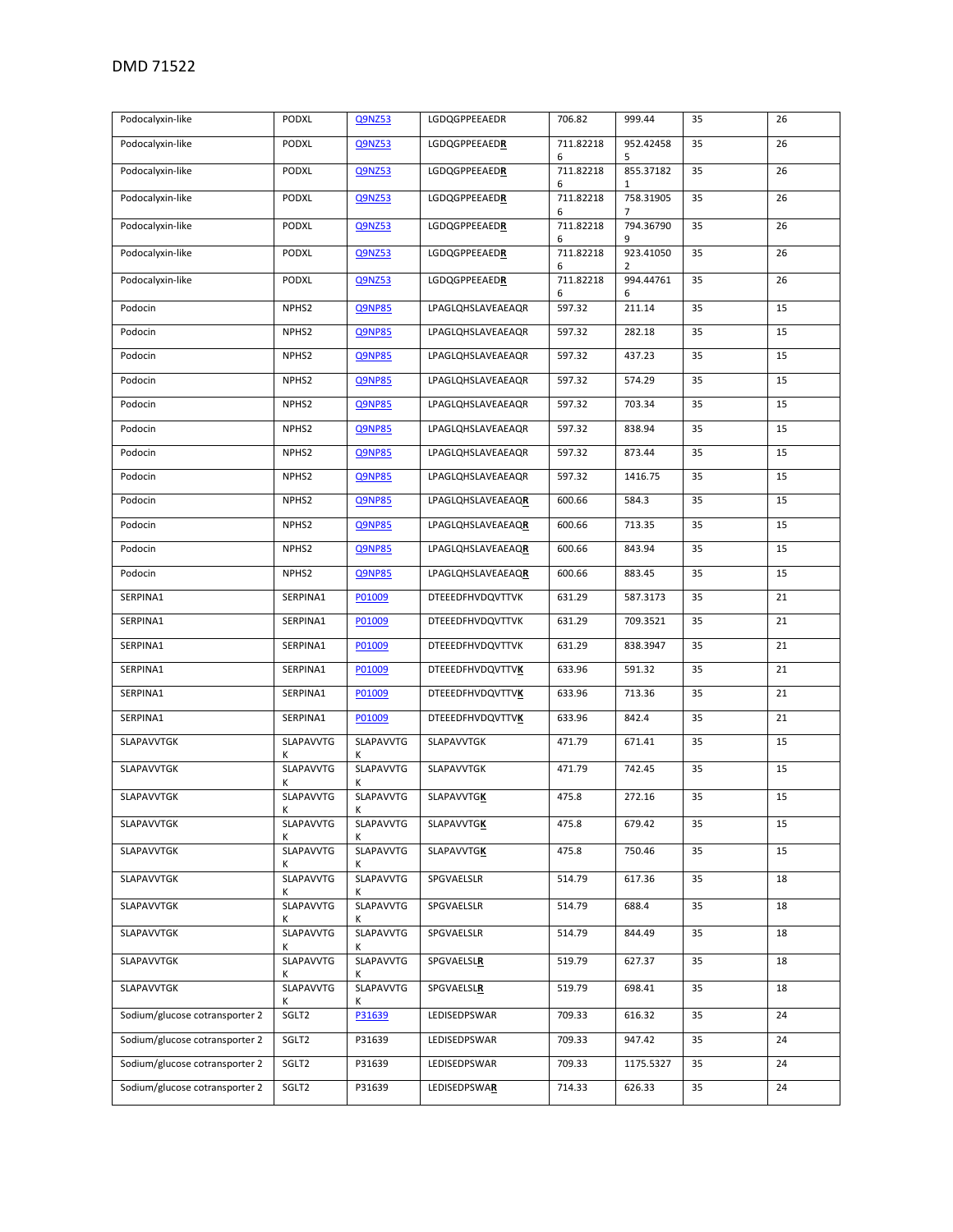| Podocalyxin-like               | PODXL             | <b>Q9NZ53</b>  | LGDQGPPEEAEDR           | 706.82         | 999.44         | 35 | 26 |
|--------------------------------|-------------------|----------------|-------------------------|----------------|----------------|----|----|
| Podocalyxin-like               | PODXL             | Q9NZ53         | LGDQGPPEEAEDR           | 711.82218<br>6 | 952.42458<br>5 | 35 | 26 |
| Podocalyxin-like               | PODXL             | <b>Q9NZ53</b>  | LGDQGPPEEAEDR           | 711.82218<br>6 | 855.37182<br>1 | 35 | 26 |
| Podocalyxin-like               | PODXL             | Q9NZ53         | LGDQGPPEEAEDR           | 711.82218<br>6 | 758.31905<br>7 | 35 | 26 |
| Podocalyxin-like               | PODXL             | Q9NZ53         | LGDQGPPEEAEDR           | 711.82218<br>6 | 794.36790<br>9 | 35 | 26 |
| Podocalyxin-like               | PODXL             | Q9NZ53         | LGDQGPPEEAEDR           | 711.82218<br>6 | 923.41050<br>2 | 35 | 26 |
| Podocalyxin-like               | PODXL             | Q9NZ53         | LGDQGPPEEAEDR           | 711.82218<br>6 | 994.44761<br>6 | 35 | 26 |
| Podocin                        | NPHS2             | <b>Q9NP85</b>  | LPAGLQHSLAVEAEAQR       | 597.32         | 211.14         | 35 | 15 |
| Podocin                        | NPHS2             | <b>Q9NP85</b>  | LPAGLQHSLAVEAEAQR       | 597.32         | 282.18         | 35 | 15 |
| Podocin                        | NPHS2             | <b>Q9NP85</b>  | LPAGLQHSLAVEAEAQR       | 597.32         | 437.23         | 35 | 15 |
| Podocin                        | NPHS2             | <b>Q9NP85</b>  | LPAGLQHSLAVEAEAQR       | 597.32         | 574.29         | 35 | 15 |
| Podocin                        | NPHS <sub>2</sub> | <b>Q9NP85</b>  | LPAGLQHSLAVEAEAQR       | 597.32         | 703.34         | 35 | 15 |
| Podocin                        | NPHS2             | <b>Q9NP85</b>  | LPAGLQHSLAVEAEAQR       | 597.32         | 838.94         | 35 | 15 |
| Podocin                        | NPHS2             | <b>Q9NP85</b>  | LPAGLQHSLAVEAEAQR       | 597.32         | 873.44         | 35 | 15 |
| Podocin                        | NPHS2             | <b>Q9NP85</b>  | LPAGLQHSLAVEAEAQR       | 597.32         | 1416.75        | 35 | 15 |
| Podocin                        | NPHS2             | <b>Q9NP85</b>  | LPAGLQHSLAVEAEAQR       | 600.66         | 584.3          | 35 | 15 |
| Podocin                        | NPHS2             | <b>Q9NP85</b>  | LPAGLQHSLAVEAEAQR       | 600.66         | 713.35         | 35 | 15 |
| Podocin                        | NPHS2             | <b>Q9NP85</b>  | LPAGLQHSLAVEAEAQR       | 600.66         | 843.94         | 35 | 15 |
| Podocin                        | NPHS2             | <b>Q9NP85</b>  | LPAGLQHSLAVEAEAQR       | 600.66         | 883.45         | 35 | 15 |
| SERPINA1                       | SERPINA1          | P01009         | DTEEEDFHVDQVTTVK        | 631.29         | 587.3173       | 35 | 21 |
| SERPINA1                       | SERPINA1          | P01009         | DTEEEDFHVDQVTTVK        | 631.29         | 709.3521       | 35 | 21 |
| SERPINA1                       | SERPINA1          | P01009         | DTEEEDFHVDQVTTVK        | 631.29         | 838.3947       | 35 | 21 |
| SERPINA1                       | SERPINA1          | P01009         | <b>DTEEEDFHVDQVTTVK</b> | 633.96         | 591.32         | 35 | 21 |
| SERPINA1                       | SERPINA1          | P01009         | <b>DTEEEDFHVDQVTTVK</b> | 633.96         | 713.36         | 35 | 21 |
| SERPINA1                       | SERPINA1          | P01009         | <b>DTEEEDFHVDQVTTVK</b> | 633.96         | 842.4          | 35 | 21 |
| SLAPAVVTGK                     | SLAPAVVTG         | SLAPAVVTG      | SLAPAVVTGK              | 471.79         | 671.41         | 35 | 15 |
| SLAPAVVTGK                     | SLAPAVVTG<br>Κ    | SLAPAVVTG<br>к | SLAPAVVTGK              | 471.79         | 742.45         | 35 | 15 |
| SLAPAVVTGK                     | SLAPAVVTG<br>K    | SLAPAVVTG<br>K | <b>SLAPAVVTGK</b>       | 475.8          | 272.16         | 35 | 15 |
| SLAPAVVTGK                     | SLAPAVVTG<br>K    | SLAPAVVTG<br>Κ | SLAPAVVTGK              | 475.8          | 679.42         | 35 | 15 |
| SLAPAVVTGK                     | SLAPAVVTG<br>K    | SLAPAVVTG<br>Κ | <b>SLAPAVVTGK</b>       | 475.8          | 750.46         | 35 | 15 |
| SLAPAVVTGK                     | SLAPAVVTG<br>Κ    | SLAPAVVTG<br>Κ | SPGVAELSLR              | 514.79         | 617.36         | 35 | 18 |
| SLAPAVVTGK                     | SLAPAVVTG<br>Κ    | SLAPAVVTG<br>K | SPGVAELSLR              | 514.79         | 688.4          | 35 | 18 |
| SLAPAVVTGK                     | SLAPAVVTG<br>Κ    | SLAPAVVTG<br>K | SPGVAELSLR              | 514.79         | 844.49         | 35 | 18 |
| SLAPAVVTGK                     | SLAPAVVTG<br>к    | SLAPAVVTG<br>к | SPGVAELSLR              | 519.79         | 627.37         | 35 | 18 |
| SLAPAVVTGK                     | SLAPAVVTG         | SLAPAVVTG<br>ĸ | <b>SPGVAELSLR</b>       | 519.79         | 698.41         | 35 | 18 |
| Sodium/glucose cotransporter 2 | SGLT2             | P31639         | LEDISEDPSWAR            | 709.33         | 616.32         | 35 | 24 |
| Sodium/glucose cotransporter 2 | SGLT2             | P31639         | LEDISEDPSWAR            | 709.33         | 947.42         | 35 | 24 |
| Sodium/glucose cotransporter 2 | SGLT2             | P31639         | LEDISEDPSWAR            | 709.33         | 1175.5327      | 35 | 24 |
| Sodium/glucose cotransporter 2 | SGLT2             | P31639         | LEDISEDPSWAR            | 714.33         | 626.33         | 35 | 24 |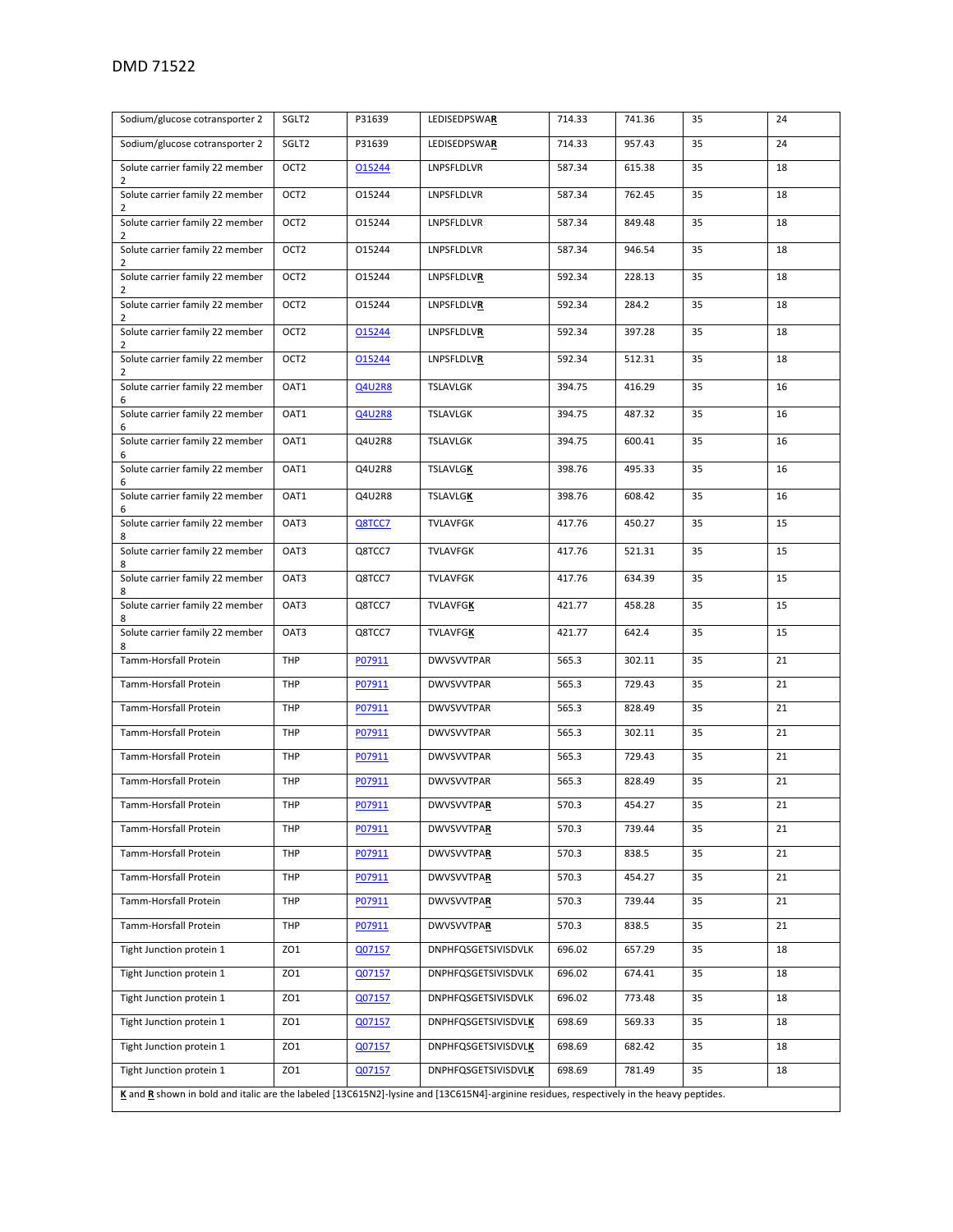| Sodium/glucose cotransporter 2                                                                                                           | SGLT2            | P31639        | LEDISEDPSWAR               | 714.33 | 741.36 | 35 | 24 |  |
|------------------------------------------------------------------------------------------------------------------------------------------|------------------|---------------|----------------------------|--------|--------|----|----|--|
| Sodium/glucose cotransporter 2                                                                                                           | SGLT2            | P31639        | LEDISEDPSWAR               | 714.33 | 957.43 | 35 | 24 |  |
| Solute carrier family 22 member<br>2                                                                                                     | OCT <sub>2</sub> | 015244        | LNPSFLDLVR                 | 587.34 | 615.38 | 35 | 18 |  |
| Solute carrier family 22 member<br>2                                                                                                     | OCT <sub>2</sub> | 015244        | LNPSFLDLVR                 | 587.34 | 762.45 | 35 | 18 |  |
| Solute carrier family 22 member<br>2                                                                                                     | OCT <sub>2</sub> | 015244        | LNPSFLDLVR                 | 587.34 | 849.48 | 35 | 18 |  |
| Solute carrier family 22 member<br>2                                                                                                     | OCT <sub>2</sub> | 015244        | LNPSFLDLVR                 | 587.34 | 946.54 | 35 | 18 |  |
| Solute carrier family 22 member<br>2                                                                                                     | OCT <sub>2</sub> | 015244        | LNPSFLDLVR                 | 592.34 | 228.13 | 35 | 18 |  |
| Solute carrier family 22 member<br>2                                                                                                     | OCT <sub>2</sub> | 015244        | LNPSFLDLVR                 | 592.34 | 284.2  | 35 | 18 |  |
| Solute carrier family 22 member<br>2                                                                                                     | OCT <sub>2</sub> | 015244        | LNPSFLDLVR                 | 592.34 | 397.28 | 35 | 18 |  |
| Solute carrier family 22 member<br>2                                                                                                     | OCT <sub>2</sub> | 015244        | LNPSFLDLVR                 | 592.34 | 512.31 | 35 | 18 |  |
| Solute carrier family 22 member<br>6                                                                                                     | OAT1             | Q4U2R8        | TSLAVLGK                   | 394.75 | 416.29 | 35 | 16 |  |
| Solute carrier family 22 member<br>6                                                                                                     | OAT1             | <b>Q4U2R8</b> | <b>TSLAVLGK</b>            | 394.75 | 487.32 | 35 | 16 |  |
| Solute carrier family 22 member                                                                                                          | OAT1             | Q4U2R8        | TSLAVLGK                   | 394.75 | 600.41 | 35 | 16 |  |
| 6<br>Solute carrier family 22 member<br>6                                                                                                | OAT1             | Q4U2R8        | <b>TSLAVLGK</b>            | 398.76 | 495.33 | 35 | 16 |  |
| Solute carrier family 22 member<br>6                                                                                                     | OAT1             | Q4U2R8        | <b>TSLAVLGK</b>            | 398.76 | 608.42 | 35 | 16 |  |
| Solute carrier family 22 member<br>8                                                                                                     | OAT3             | Q8TCC7        | <b>TVLAVFGK</b>            | 417.76 | 450.27 | 35 | 15 |  |
| Solute carrier family 22 member<br>8                                                                                                     | OAT3             | Q8TCC7        | <b>TVLAVFGK</b>            | 417.76 | 521.31 | 35 | 15 |  |
| Solute carrier family 22 member<br>8                                                                                                     | OAT3             | Q8TCC7        | <b>TVLAVFGK</b>            | 417.76 | 634.39 | 35 | 15 |  |
| Solute carrier family 22 member<br>8                                                                                                     | OAT3             | Q8TCC7        | <b>TVLAVFGK</b>            | 421.77 | 458.28 | 35 | 15 |  |
| Solute carrier family 22 member<br>8                                                                                                     | OAT3             | Q8TCC7        | <b>TVLAVFGK</b>            | 421.77 | 642.4  | 35 | 15 |  |
| Tamm-Horsfall Protein                                                                                                                    | THP              | P07911        | <b>DWVSVVTPAR</b>          | 565.3  | 302.11 | 35 | 21 |  |
| Tamm-Horsfall Protein                                                                                                                    | THP              | P07911        | <b>DWVSVVTPAR</b>          | 565.3  | 729.43 | 35 | 21 |  |
| Tamm-Horsfall Protein                                                                                                                    | THP              | P07911        | <b>DWVSVVTPAR</b>          | 565.3  | 828.49 | 35 | 21 |  |
| Tamm-Horsfall Protein                                                                                                                    | THP              | P07911        | <b>DWVSVVTPAR</b>          | 565.3  | 302.11 | 35 | 21 |  |
| Tamm-Horsfall Protein                                                                                                                    | THP              | P07911        | <b>DWVSVVTPAR</b>          | 565.3  | 729.43 | 35 | 21 |  |
| Tamm-Horsfall Protein                                                                                                                    | THP              | P07911        | <b>DWVSVVTPAR</b>          | 565.3  | 828.49 | 35 | 21 |  |
| Tamm-Horsfall Protein                                                                                                                    | THP              | P07911        | <b>DWVSVVTPAR</b>          | 570.3  | 454.27 | 35 | 21 |  |
| Tamm-Horsfall Protein                                                                                                                    | THP              | P07911        | <b>DWVSVVTPAR</b>          | 570.3  | 739.44 | 35 | 21 |  |
| Tamm-Horsfall Protein                                                                                                                    | THP              | P07911        | <b>DWVSVVTPAR</b>          | 570.3  | 838.5  | 35 | 21 |  |
| Tamm-Horsfall Protein                                                                                                                    | THP              | P07911        | <b>DWVSVVTPAR</b>          | 570.3  | 454.27 | 35 | 21 |  |
| Tamm-Horsfall Protein                                                                                                                    | THP              | P07911        | <b>DWVSVVTPAR</b>          | 570.3  | 739.44 | 35 | 21 |  |
| Tamm-Horsfall Protein                                                                                                                    | THP              | P07911        | <b>DWVSVVTPAR</b>          | 570.3  | 838.5  | 35 | 21 |  |
| Tight Junction protein 1                                                                                                                 | ZO <sub>1</sub>  | Q07157        | <b>DNPHFQSGETSIVISDVLK</b> | 696.02 | 657.29 | 35 | 18 |  |
| Tight Junction protein 1                                                                                                                 | ZO1              | Q07157        | <b>DNPHFQSGETSIVISDVLK</b> | 696.02 | 674.41 | 35 | 18 |  |
| Tight Junction protein 1                                                                                                                 |                  |               |                            |        |        |    |    |  |
|                                                                                                                                          | ZO1              | Q07157        | <b>DNPHFQSGETSIVISDVLK</b> | 696.02 | 773.48 | 35 | 18 |  |
| Tight Junction protein 1                                                                                                                 | ZO1              | Q07157        | <b>DNPHFQSGETSIVISDVLK</b> | 698.69 | 569.33 | 35 | 18 |  |
| Tight Junction protein 1                                                                                                                 | ZO1              | Q07157        | <b>DNPHFQSGETSIVISDVLK</b> | 698.69 | 682.42 | 35 | 18 |  |
| Tight Junction protein 1                                                                                                                 | ZO1              | Q07157        | <b>DNPHFQSGETSIVISDVLK</b> | 698.69 | 781.49 | 35 | 18 |  |
| K and R shown in bold and italic are the labeled [13C615N2]-lysine and [13C615N4]-arginine residues, respectively in the heavy peptides. |                  |               |                            |        |        |    |    |  |